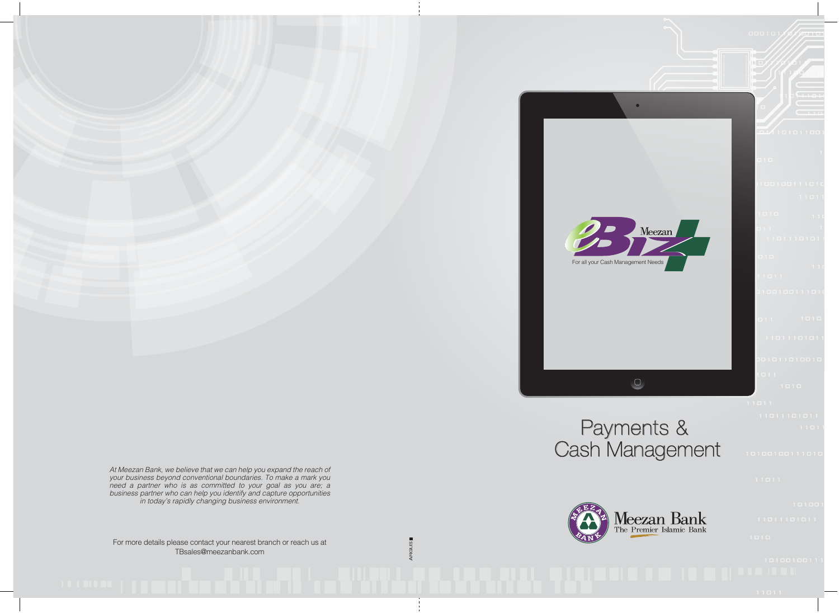

### Payments & Cash Management

Meezan Bank<br>The Premier Islamic Bank

*At Meezan Bank, we believe that we can help you expand the reach of your business beyond conventional boundaries. To make a mark you need a partner who is as committed to your goal as you are; a business partner who can help you identify and capture opportunities in today's rapidly changing business environment.* 

For more details please contact your nearest branch or reach us at TBsales@meezanbank.com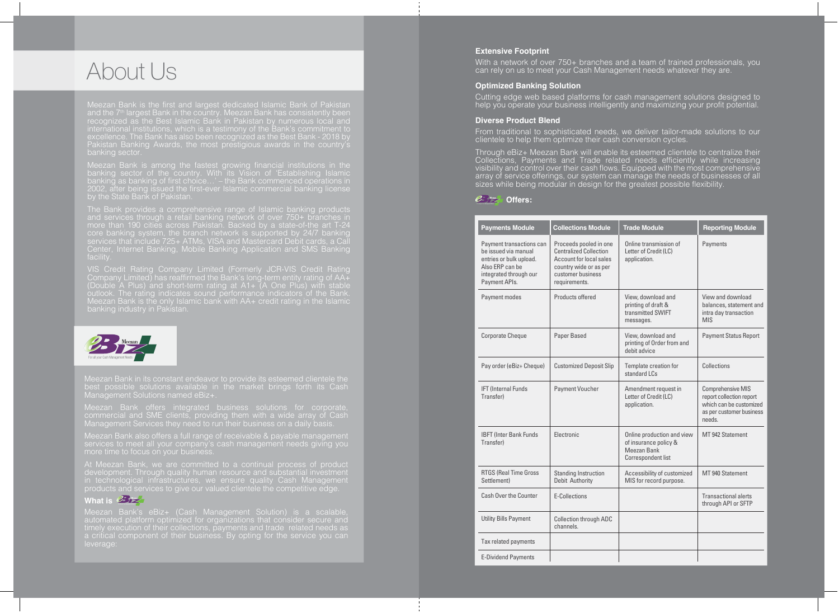## About Us

Meezan Bank is the first and largest dedicated Islamic Bank of Pakistan and the 7<sup>th</sup> largest Bank in the country. Meezan Bank has consistently been excellence. The Bank has also been recognized as the Best Bank - 2018 by Pakistan Banking Awards, the most prestigious awards in the country's banking sector.

Meezan Bank is among the fastest growing financial institutions in the banking sector of the country. With its Vision of 'Establishing Islamic banking as banking of first choice…' – the Bank commenced operations in 2002, after being issued the first-ever Islamic commercial banking license by the State Bank of Pakistan.

more than 190 cities across Pakistan. Backed by a state-of-the art T-24 core banking system, the branch network is supported by 24/7 banking services that include 725+ ATMs, VISA and Mastercard Debit cards, a Call Center, Internet Banking, Mobile Banking Application and SMS Banking

VIS Credit Rating Company Limited (Formerly JCR-VIS Credit Rating Company Limited) has reaffirmed the Bank's long-term entity rating of AA+ (Double A Plus) and short-term rating at A1+ (A One Plus) with stable outlook. The rating indicates sound performance indicators of the Bank. Meezan Bank is the only Islamic bank with AA+ credit rating in the Islamic banking industry in Pakistan.



Meezan Bank in its constant endeavor to provide its esteemed clientele the best possible solutions available in the market brings forth its Cash Management Solutions named eBiz+.

Meezan Bank offers integrated business solutions for corporate, commercial and SME clients, providing them with a wide array of Cash Management Services they need to run their business on a daily basis.

Meezan Bank also offers a full range of receivable & payable management services to meet all your company's cash management needs giving you

At Meezan Bank, we are committed to a continual process of product in technological infrastructures, we ensure quality Cash Management products and services to give our valued clientele the competitive edge.

#### **What is محمد What**

Meezan Bank's eBiz+ (Cash Management Solution) is a scalable,

#### **Extensive Footprint**

With a network of over 750+ branches and a team of trained professionals, you can rely on us to meet your Cash Management needs whatever they are.

#### **Optimized Banking Solution**

Cutting edge web based platforms for cash management solutions designed to help you operate your business intelligently and maximizing your profit potential.

#### **Diverse Product Blend**

From traditional to sophisticated needs, we deliver tailor-made solutions to our clientele to help them optimize their cash conversion cycles.

Through eBiz+ Meezan Bank will enable its esteemed clientele to centralize their Collections, Payments and Trade related needs efficiently while increasing visibility and control over their cash flows. Equipped with the most comprehensive array of service offerings, our system can manage the needs of businesses of all sizes while being modular in design for the greatest possible flexibility.

#### *C* Offers:

| <b>Payments Module</b>                                                                                                                    | <b>Collections Module</b>                                                                                                                          | <b>Trade Module</b>                                                                      | <b>Reporting Module</b>                                                                                               |
|-------------------------------------------------------------------------------------------------------------------------------------------|----------------------------------------------------------------------------------------------------------------------------------------------------|------------------------------------------------------------------------------------------|-----------------------------------------------------------------------------------------------------------------------|
| Payment transactions can<br>be issued via manual<br>entries or bulk upload.<br>Also ERP can be<br>integrated through our<br>Payment APIs. | Proceeds pooled in one<br><b>Centralized Collection</b><br>Account for local sales<br>country wide or as per<br>customer business<br>requirements. | Online transmission of<br>Letter of Credit (LC)<br>application.                          | Payments                                                                                                              |
| Payment modes                                                                                                                             | Products offered                                                                                                                                   | View, download and<br>printing of draft &<br>transmitted SWIFT<br>messages.              | View and download<br>balances, statement and<br>intra day transaction<br><b>MIS</b>                                   |
| <b>Corporate Cheque</b>                                                                                                                   | Paper Based                                                                                                                                        | View, download and<br>printing of Order from and<br>debit advice                         | <b>Payment Status Report</b>                                                                                          |
| Pay order (eBiz+ Cheque)                                                                                                                  | <b>Customized Deposit Slip</b>                                                                                                                     | Template creation for<br>standard LCs                                                    | Collections                                                                                                           |
| <b>IFT (Internal Funds)</b><br>Transfer)                                                                                                  | <b>Payment Voucher</b>                                                                                                                             | Amendment request in<br>Letter of Credit (LC)<br>application.                            | <b>Comprehensive MIS</b><br>report collection report<br>which can be customized<br>as per customer business<br>needs. |
| <b>IBFT (Inter Bank Funds)</b><br>Transfer)                                                                                               | Electronic                                                                                                                                         | Online production and view<br>of insurance policy &<br>Meezan Bank<br>Correspondent list | <b>MT 942 Statement</b>                                                                                               |
| <b>RTGS (Real Time Gross</b><br>Settlement)                                                                                               | <b>Standing Instruction</b><br>Debit Authority                                                                                                     | Accessibility of customized<br>MIS for record purpose.                                   | MT 940 Statement                                                                                                      |
| Cash Over the Counter                                                                                                                     | E-Collections                                                                                                                                      |                                                                                          | <b>Transactional alerts</b><br>through API or SFTP                                                                    |
| <b>Utility Bills Payment</b>                                                                                                              | <b>Collection through ADC</b><br>channels.                                                                                                         |                                                                                          |                                                                                                                       |
| Tax related payments                                                                                                                      |                                                                                                                                                    |                                                                                          |                                                                                                                       |
| <b>E-Dividend Payments</b>                                                                                                                |                                                                                                                                                    |                                                                                          |                                                                                                                       |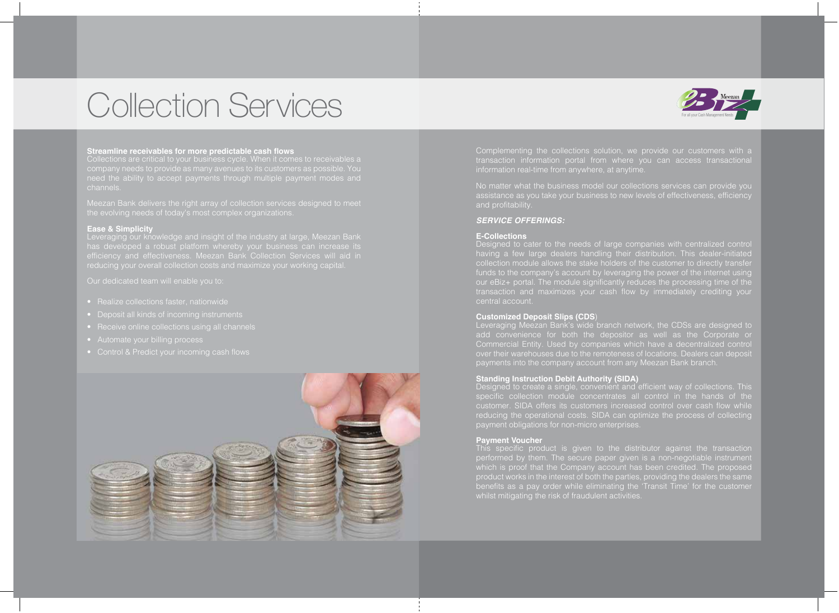# Collection Services



#### **Streamline receivables for more predictable cash flows**

company needs to provide as many avenues to its customers as possible. You

#### **Ease & Simplicity**

Leveraging our knowledge and insight of the industry at large, Meezan Bank efficiency and effectiveness. Meezan Bank Collection Services will aid in

- Realize collections faster, nationwide
- 
- 
- 
- Control & Predict your incoming cash flows



Complementing the collections solution, we provide our customers with a

No matter what the business model our collections services can provide you and profitability.

#### *SERVICE OFFERINGS:*

#### **E-Collections**

Designed to cater to the needs of large companies with centralized control having a few large dealers handling their distribution. This dealer-initiated collection module allows the stake holders of the customer to directly transfer funds to the company's account by leveraging the power of the internet using our eBiz+ portal. The module significantly reduces the processing time of the transaction and maximizes your cash flow by immediately crediting your central account.

#### **Customized Deposit Slips (CDS**)

Leveraging Meezan Bank's wide branch network, the CDSs are designed to add convenience for both the depositor as well as the Corporate or Commercial Entity. Used by companies which have a decentralized control over their warehouses due to the remoteness of locations. Dealers can deposit payments into the company account from any Meezan Bank branch.

#### **Standing Instruction Debit Authority (SIDA)**

Designed to create a single, convenient and efficient way of collections. This specific collection module concentrates all control in the hands of the customer. SIDA offers its customers increased control over cash flow while reducing the operational costs. SIDA can optimize the process of collecting payment obligations for non-micro enterprises.

#### **Payment Voucher**

This specific product is given to the distributor against the transaction performed by them. The secure paper given is a non-negotiable instrument which is proof that the Company account has been credited. The proposed product works in the interest of both the parties, providing the dealers the same whilst mitigating the risk of fraudulent activities.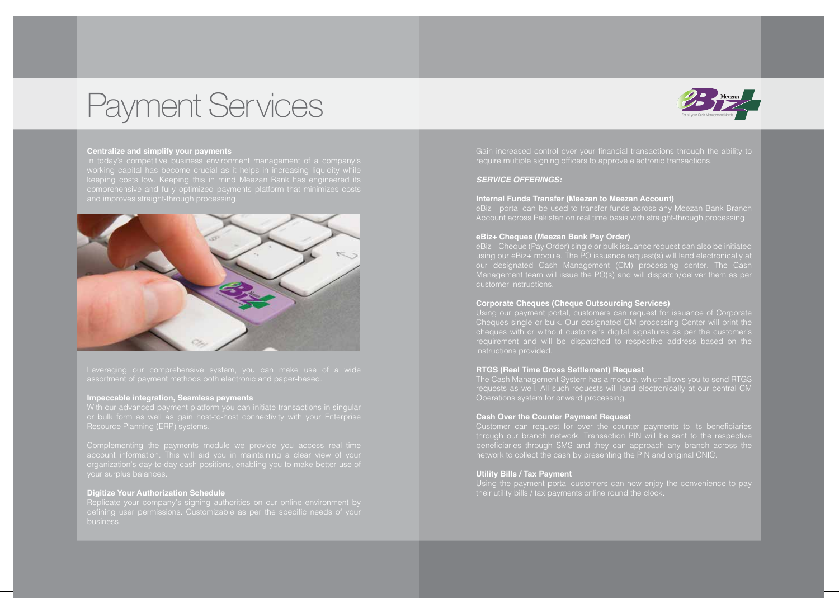## Payment Services



#### **Centralize and simplify your payments**

In today's competitive business environment management of a company's



Leveraging our comprehensive system, you can make use of a wide

#### **Impeccable integration, Seamless payments**

Resource Planning (ERP) systems.

account information. This will aid you in maintaining a clear view of your

#### **Digitize Your Authorization Schedule**

defining user permissions. Customizable as per the specific needs of your business.

Gain increased control over your financial transactions through the ability to require multiple signing officers to approve electronic transactions.

#### *SERVICE OFFERINGS:*

#### **Internal Funds Transfer (Meezan to Meezan Account)**

eBiz+ portal can be used to transfer funds across any Meezan Bank Branch Account across Pakistan on real time basis with straight-through processing.

#### **eBiz+ Cheques (Meezan Bank Pay Order)**

eBiz+ Cheque (Pay Order) single or bulk issuance request can also be initiated using our eBiz+ module. The PO issuance request(s) will land electronically at our designated Cash Management (CM) processing center. The Cash Management team will issue the PO(s) and will dispatch/deliver them as per customer instructions.

#### **Corporate Cheques (Cheque Outsourcing Services)**

Cheques single or bulk. Our designated CM processing Center will print the cheques with or without customer's digital signatures as per the customer's requirement and will be dispatched to respective address based on the

#### **RTGS (Real Time Gross Settlement) Request**

The Cash Management System has a module, which allows you to send RTGS requests as well. All such requests will land electronically at our central CM Operations system for onward processing.

#### **Cash Over the Counter Payment Request**

through our branch network. Transaction PIN will be sent to the respective beneficiaries through SMS and they can approach any branch across the network to collect the cash by presenting the PIN and original CNIC.

#### **Utility Bills / Tax Payment**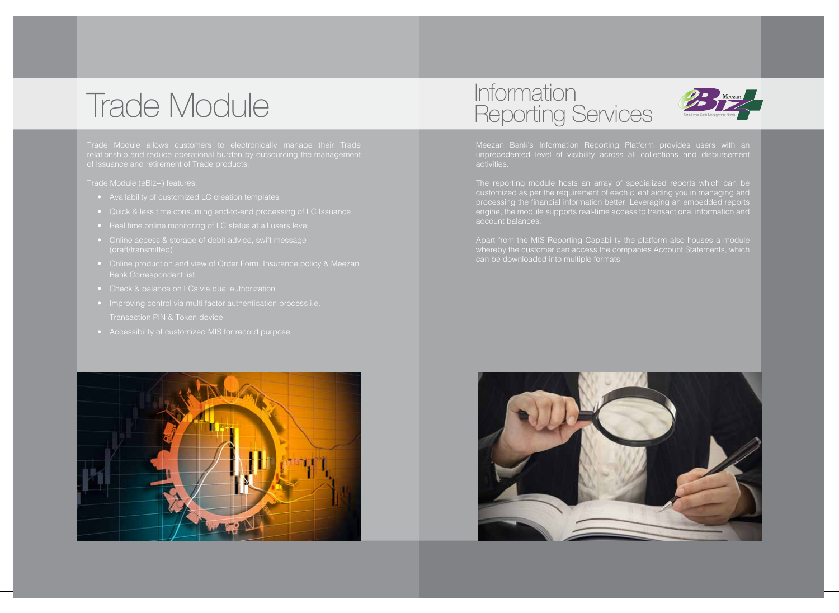# Trade Module Information<br>Reporting

Trade Module allows customers to electronically manage their Trade relationship and reduce operational burden by outsourcing the management

- 
- 
- 
- 
- 
- 
- 
- 





Meezan Bank's Information Reporting Platform provides users with an unprecedented level of visibility across all collections and disbursement

The reporting module hosts an array of specialized reports which can be customized as per the requirement of each client aiding you in managing and processing the financial information better. Leveraging an embedded reports engine, the module supports real-time access to transactional information and

Apart from the MIS Reporting Capability the platform also houses a module whereby the customer can access the companies Account Statements, which can be downloaded into multiple formats